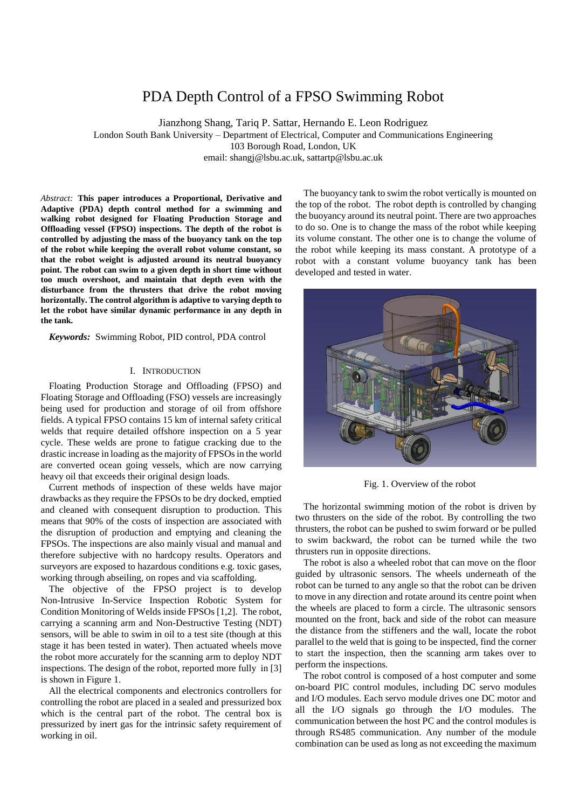# PDA Depth Control of a FPSO Swimming Robot

Jianzhong Shang, Tariq P. Sattar, Hernando E. Leon Rodriguez

London South Bank University – Department of Electrical, Computer and Communications Engineering 103 Borough Road, London, UK email: shangj@lsbu.ac.uk, sattartp@lsbu.ac.uk

*Abstract:* **This paper introduces a Proportional, Derivative and Adaptive (PDA) depth control method for a swimming and walking robot designed for Floating Production Storage and Offloading vessel (FPSO) inspections. The depth of the robot is controlled by adjusting the mass of the buoyancy tank on the top of the robot while keeping the overall robot volume constant, so that the robot weight is adjusted around its neutral buoyancy point. The robot can swim to a given depth in short time without too much overshoot, and maintain that depth even with the disturbance from the thrusters that drive the robot moving horizontally. The control algorithm is adaptive to varying depth to let the robot have similar dynamic performance in any depth in the tank.** 

*Keywords:* Swimming Robot, PID control, PDA control

# I. INTRODUCTION

Floating Production Storage and Offloading (FPSO) and Floating Storage and Offloading (FSO) vessels are increasingly being used for production and storage of oil from offshore fields. A typical FPSO contains 15 km of internal safety critical welds that require detailed offshore inspection on a 5 year cycle. These welds are prone to fatigue cracking due to the drastic increase in loading as the majority of FPSOs in the world are converted ocean going vessels, which are now carrying heavy oil that exceeds their original design loads.

Current methods of inspection of these welds have major drawbacks as they require the FPSOs to be dry docked, emptied and cleaned with consequent disruption to production. This means that 90% of the costs of inspection are associated with the disruption of production and emptying and cleaning the FPSOs. The inspections are also mainly visual and manual and therefore subjective with no hardcopy results. Operators and surveyors are exposed to hazardous conditions e.g. toxic gases, working through abseiling, on ropes and via scaffolding.

The objective of the FPSO project is to develop Non-Intrusive In-Service Inspection Robotic System for Condition Monitoring of Welds inside FPSOs [1,2]. The robot, carrying a scanning arm and Non-Destructive Testing (NDT) sensors, will be able to swim in oil to a test site (though at this stage it has been tested in water). Then actuated wheels move the robot more accurately for the scanning arm to deploy NDT inspections. The design of the robot, reported more fully in [3] is shown in Figure 1.

All the electrical components and electronics controllers for controlling the robot are placed in a sealed and pressurized box which is the central part of the robot. The central box is pressurized by inert gas for the intrinsic safety requirement of working in oil.

The buoyancy tank to swim the robot vertically is mounted on the top of the robot. The robot depth is controlled by changing the buoyancy around its neutral point. There are two approaches to do so. One is to change the mass of the robot while keeping its volume constant. The other one is to change the volume of the robot while keeping its mass constant. A prototype of a robot with a constant volume buoyancy tank has been developed and tested in water.



Fig. 1. Overview of the robot

The horizontal swimming motion of the robot is driven by two thrusters on the side of the robot. By controlling the two thrusters, the robot can be pushed to swim forward or be pulled to swim backward, the robot can be turned while the two thrusters run in opposite directions.

The robot is also a wheeled robot that can move on the floor guided by ultrasonic sensors. The wheels underneath of the robot can be turned to any angle so that the robot can be driven to move in any direction and rotate around its centre point when the wheels are placed to form a circle. The ultrasonic sensors mounted on the front, back and side of the robot can measure the distance from the stiffeners and the wall, locate the robot parallel to the weld that is going to be inspected, find the corner to start the inspection, then the scanning arm takes over to perform the inspections.

The robot control is composed of a host computer and some on-board PIC control modules, including DC servo modules and I/O modules. Each servo module drives one DC motor and all the I/O signals go through the I/O modules. The communication between the host PC and the control modules is through RS485 communication. Any number of the module combination can be used as long as not exceeding the maximum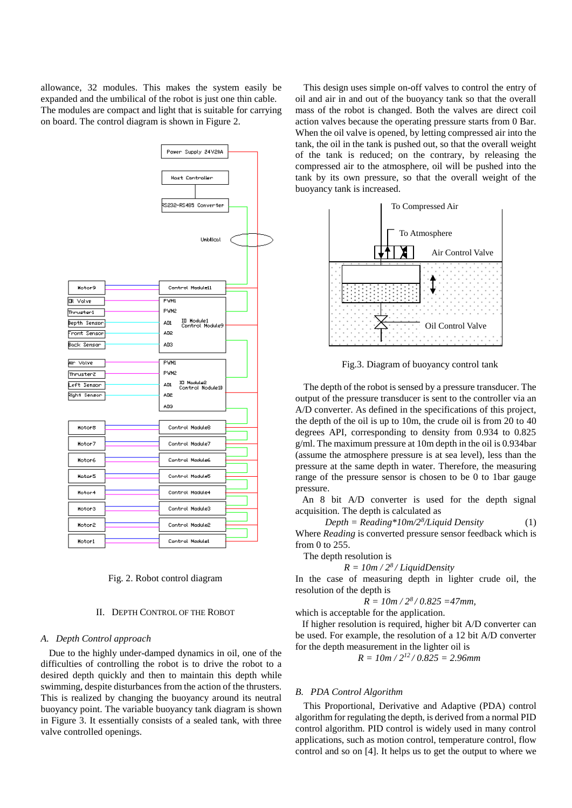allowance, 32 modules. This makes the system easily be expanded and the umbilical of the robot is just one thin cable. The modules are compact and light that is suitable for carrying on board. The control diagram is shown in Figure 2.



Fig. 2. Robot control diagram

### II. DEPTH CONTROL OF THE ROBOT

# *A. Depth Control approach*

Due to the highly under-damped dynamics in oil, one of the difficulties of controlling the robot is to drive the robot to a desired depth quickly and then to maintain this depth while swimming, despite disturbances from the action of the thrusters. This is realized by changing the buoyancy around its neutral buoyancy point. The variable buoyancy tank diagram is shown in Figure 3. It essentially consists of a sealed tank, with three valve controlled openings.

This design uses simple on-off valves to control the entry of oil and air in and out of the buoyancy tank so that the overall mass of the robot is changed. Both the valves are direct coil action valves because the operating pressure starts from 0 Bar. When the oil valve is opened, by letting compressed air into the tank, the oil in the tank is pushed out, so that the overall weight of the tank is reduced; on the contrary, by releasing the compressed air to the atmosphere, oil will be pushed into the tank by its own pressure, so that the overall weight of the buoyancy tank is increased.



Fig.3. Diagram of buoyancy control tank

The depth of the robot is sensed by a pressure transducer. The output of the pressure transducer is sent to the controller via an A/D converter. As defined in the specifications of this project, the depth of the oil is up to 10m, the crude oil is from 20 to 40 degrees API, corresponding to density from 0.934 to 0.825 g/ml. The maximum pressure at 10m depth in the oil is 0.934bar (assume the atmosphere pressure is at sea level), less than the pressure at the same depth in water. Therefore, the measuring range of the pressure sensor is chosen to be 0 to 1bar gauge pressure.

An 8 bit A/D converter is used for the depth signal acquisition. The depth is calculated as

*Depth = Reading\*10m/2<sup>8</sup> /Liquid Density* (1) Where *Reading* is converted pressure sensor feedback which is from 0 to 255.

The depth resolution is

 $R = 10m / 2<sup>8</sup>/LiquidDensity$ 

In the case of measuring depth in lighter crude oil, the resolution of the depth is

$$
R = 10m / 2^8 / 0.825 = 47mm
$$

which is acceptable for the application.

If higher resolution is required, higher bit A/D converter can be used. For example, the resolution of a 12 bit A/D converter for the depth measurement in the lighter oil is

$$
R = 10m / 2^{12} / 0.825 = 2.96mm
$$

# *B. PDA Control Algorithm*

This Proportional, Derivative and Adaptive (PDA) control algorithm for regulating the depth, is derived from a normal PID control algorithm. PID control is widely used in many control applications, such as motion control, temperature control, flow control and so on [4]. It helps us to get the output to where we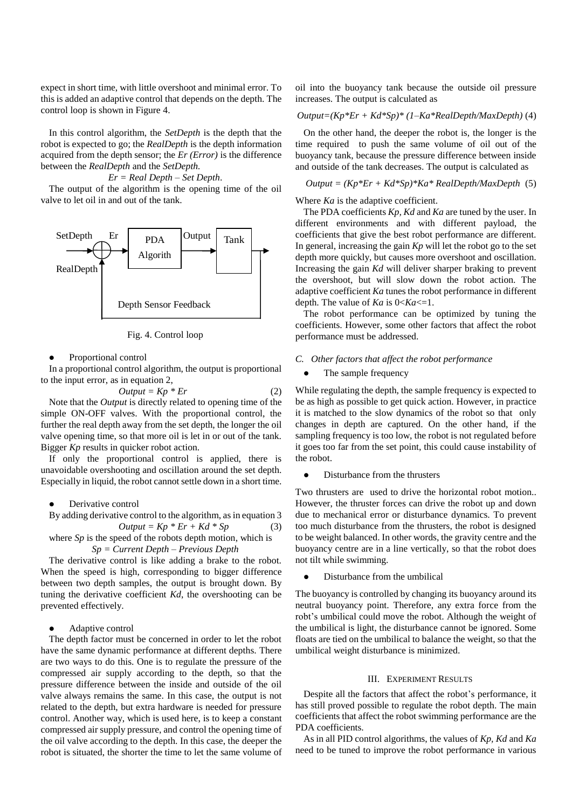expect in short time, with little overshoot and minimal error. To this is added an adaptive control that depends on the depth. The control loop is shown in Figure 4.

In this control algorithm, the *SetDepth* is the depth that the robot is expected to go; the *RealDepth* is the depth information acquired from the depth sensor; the *Er (Error)* is the difference between the *RealDepth* and the *SetDepth.*

*Er = Real Depth – Set Depth*.

The output of the algorithm is the opening time of the oil valve to let oil in and out of the tank.



Fig. 4. Control loop

#### • Proportional control

In a proportional control algorithm, the output is proportional to the input error, as in equation 2,

$$
Output = Kp * Er \tag{2}
$$

Note that the *Output* is directly related to opening time of the simple ON-OFF valves. With the proportional control, the further the real depth away from the set depth, the longer the oil valve opening time, so that more oil is let in or out of the tank. Bigger *Kp* results in quicker robot action.

If only the proportional control is applied, there is unavoidable overshooting and oscillation around the set depth. Especially in liquid, the robot cannot settle down in a short time.

#### Derivative control

By adding derivative control to the algorithm, as in equation 3  $Output = Kp * Er + Kd * Sp$  (3)

where *Sp* is the speed of the robots depth motion, which is *Sp = Current Depth – Previous Depth*

The derivative control is like adding a brake to the robot. When the speed is high, corresponding to bigger difference between two depth samples, the output is brought down. By tuning the derivative coefficient *Kd*, the overshooting can be prevented effectively.

#### Adaptive control

The depth factor must be concerned in order to let the robot have the same dynamic performance at different depths. There are two ways to do this. One is to regulate the pressure of the compressed air supply according to the depth, so that the pressure difference between the inside and outside of the oil valve always remains the same. In this case, the output is not related to the depth, but extra hardware is needed for pressure control. Another way, which is used here, is to keep a constant compressed air supply pressure, and control the opening time of the oil valve according to the depth. In this case, the deeper the robot is situated, the shorter the time to let the same volume of oil into the buoyancy tank because the outside oil pressure increases. The output is calculated as

*Output=(Kp\*Er + Kd\*Sp)\* (1–Ka\*RealDepth/MaxDepth)* (4)

On the other hand, the deeper the robot is, the longer is the time required to push the same volume of oil out of the buoyancy tank, because the pressure difference between inside and outside of the tank decreases. The output is calculated as

$$
Output = (Kp*Er + Kd*Sp)*Ka*RealDepth/MaxDepth (5)
$$

Where *Ka* is the adaptive coefficient.

The PDA coefficients *Kp, Kd* and *Ka* are tuned by the user. In different environments and with different payload, the coefficients that give the best robot performance are different. In general, increasing the gain *Kp* will let the robot go to the set depth more quickly, but causes more overshoot and oscillation. Increasing the gain *Kd* will deliver sharper braking to prevent the overshoot, but will slow down the robot action. The adaptive coefficient *Ka* tunes the robot performance in different depth. The value of *Ka* is 0<*Ka*<=1.

The robot performance can be optimized by tuning the coefficients. However, some other factors that affect the robot performance must be addressed.

#### *C. Other factors that affect the robot performance*

# The sample frequency

While regulating the depth, the sample frequency is expected to be as high as possible to get quick action. However, in practice it is matched to the slow dynamics of the robot so that only changes in depth are captured. On the other hand, if the sampling frequency is too low, the robot is not regulated before it goes too far from the set point, this could cause instability of the robot.

Disturbance from the thrusters

Two thrusters are used to drive the horizontal robot motion.. However, the thruster forces can drive the robot up and down due to mechanical error or disturbance dynamics. To prevent too much disturbance from the thrusters, the robot is designed to be weight balanced. In other words, the gravity centre and the buoyancy centre are in a line vertically, so that the robot does not tilt while swimming.

Disturbance from the umbilical

The buoyancy is controlled by changing its buoyancy around its neutral buoyancy point. Therefore, any extra force from the robt's umbilical could move the robot. Although the weight of the umbilical is light, the disturbance cannot be ignored. Some floats are tied on the umbilical to balance the weight, so that the umbilical weight disturbance is minimized.

### III. EXPERIMENT RESULTS

Despite all the factors that affect the robot's performance, it has still proved possible to regulate the robot depth. The main coefficients that affect the robot swimming performance are the PDA coefficients.

As in all PID control algorithms, the values of *Kp, Kd* and *Ka* need to be tuned to improve the robot performance in various